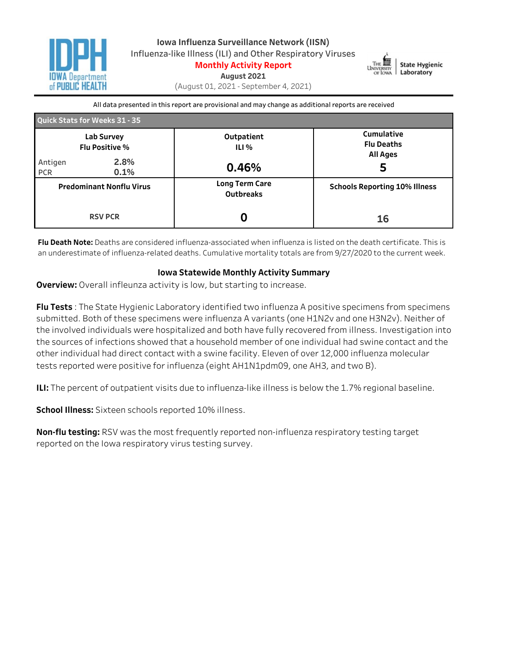



**August2021**

(August01,2021-September4,2021)

All data presented in this report are provisional and may change as additional reports are received

| <b>Quick Stats for Weeks 31 - 35</b> |                                     |                                           |                                                    |  |  |  |  |  |  |  |
|--------------------------------------|-------------------------------------|-------------------------------------------|----------------------------------------------------|--|--|--|--|--|--|--|
|                                      | Lab Survey<br><b>Flu Positive %</b> | Outpatient<br>ILI %                       | Cumulative<br><b>Flu Deaths</b><br><b>All Ages</b> |  |  |  |  |  |  |  |
| Antigen<br><b>PCR</b>                | 2.8%<br>0.1%                        | 0.46%                                     | 5                                                  |  |  |  |  |  |  |  |
|                                      | <b>Predominant Nonflu Virus</b>     | <b>Long Term Care</b><br><b>Outbreaks</b> | <b>Schools Reporting 10% Illness</b>               |  |  |  |  |  |  |  |
|                                      | <b>RSV PCR</b>                      |                                           | 16                                                 |  |  |  |  |  |  |  |

Flu Death Note: Deaths are considered influenza-associated when influenza is listed on the death certificate. This is an underestimate of influenza-related deaths. Cumulative mortality totals are from 9/27/2020 to the current week.

#### **Iowa Statewide Monthly Activity Summary**

**Overview:** Overall infleunza activity is low, but starting to increase.

Flu Tests: The State Hygienic Laboratory identified two influenza A positive specimens from specimens submitted. Both of these specimens were influenza A variants (one H1N2v and one H3N2v). Neither of the involved individuals were hospitalized and both have fully recovered from illness. Investigation into the sources of infections showed that a household member of one individual had swine contact and the other individual had direct contact with a swine facility. Eleven of over 12,000 influenza molecular tests reported were positive for influenza (eight AH1N1pdm09, one AH3, and two B).

**ILI:** The percent of outpatient visits due to influenza-like illness is below the 1.7% regional baseline.

**School Illness:** Sixteen schools reported 10% illness.

**Non-flu testing:** RSV was the most frequently reported non-influenza respiratory testing target reported on the Iowa respiratory virus testing survey.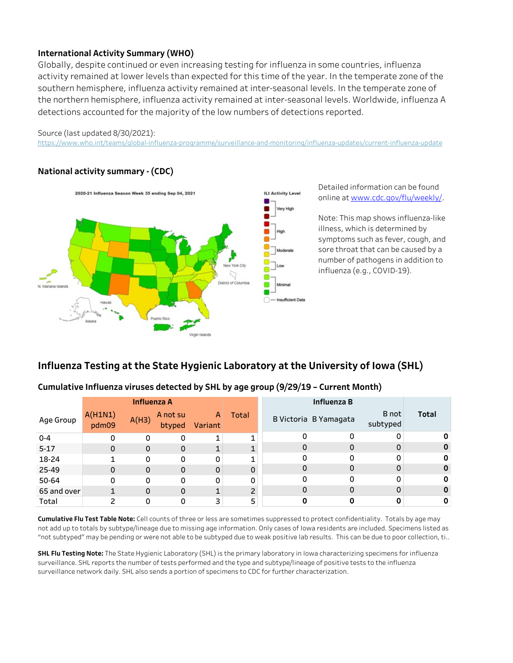## **International Activity Summary (WHO)**

Globally, despite continued or even increasing testing for influenza in some countries, influenza activity remained at lower levels than expected for this time of the year. In the temperate zone of the southern hemisphere, influenza activity remained at inter-seasonal levels. In the temperate zone of the northern hemisphere, influenza activity remained at inter-seasonal levels. Worldwide, influenza A detections accounted for the majority of the low numbers of detections reported.

#### Source (last updated 8/30/2021):

65andover

Total  $\begin{array}{|c|c|c|c|c|c|}\n\hline\n1 & 2 & 0 & 0 & 3 \\
\hline\n\end{array}$ 

2 1 0 0

https://www.who.int/teams/global-influenza-programme/surveillance-and-monitoring/influenza-updates/current-influenza-update

## **Nationalactivitysummary-(CDC)**



Detailed information can be found onlineatwww.cdc.gov/flu/weekly/.

Note: This map shows influenza-like illness, which is determined by symptoms such as fever, cough, and sore throat that can be caused by a number of pathogens in addition to influenza(e.g.,COVID-19).

> 0 0

 $\Omega$ 0

0 0

## **Influenza Testing at the State Hygienic Laboratory at the University of Iowa (SHL)**

#### **Age Group** InfluenzaA A(H1N1) pdm09  $A(H3)$ A not su btyped A Variant Total 0-4 5-17 18-24 25-49 50-64 0 0 0 1 1 0 0 0  $\Omega$ 0 0 0 0  $\Omega$ 0 0 0 1  $\Omega$ 0 0 0 1 1 1 Influenza B B Victoria B Yamagata Bnot subtyped Total 0 0 0 0  $\Omega$ 0 0 0 0  $\Omega$ 0 0 0 0  $\Omega$

1

0 0

## Cumulative Influenza viruses detected by SHL by age group (9/29/19 - Current Month)

Cumulative Flu Test Table Note: Cell counts of three or less are sometimes suppressed to protect confidentiality. Totals by age may not add up to totals by subtype/lineage due to missing age information. Only cases of Iowa residents are included. Specimens listed as "not subtyped" may be pending or were not able to be subtyped due to weak positive lab results. This can be due to poor collection, ti..

5 2

**SHL Flu Testing Note:** The State Hygienic Laboratory (SHL) is the primary laboratory in Iowa characterizing specimens for influenza surveillance. SHL reports the number of tests performed and the type and subtype/lineage of positive tests to the influenza surveillance network daily. SHL also sends a portion of specimens to CDC for further characterization.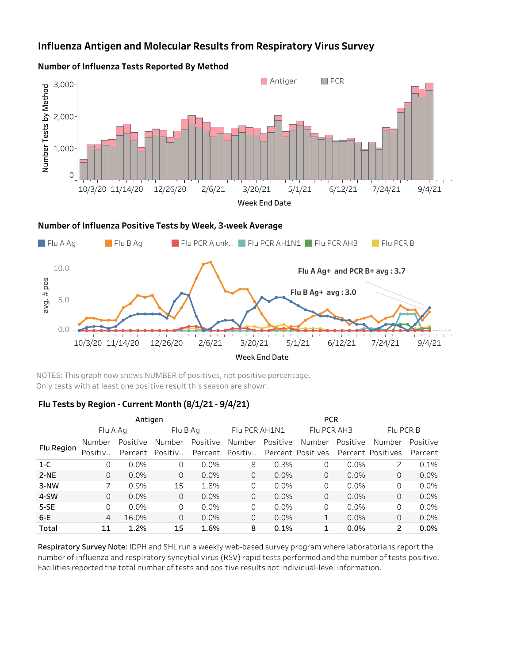# **Influenza Antigen and Molecular Results from Respiratory Virus Survey**



#### **Number of Influenza Tests Reported By Method**



NOTES: This graph now shows NUMBER of positives, not positive percentage. Only tests with at least one positive result this season are shown.

#### **FluTestsbyRegion-CurrentMonth(8/1/21-9/4/21)**

|            |          | Antigen  |          |          | <b>PCR</b>    |          |                   |          |                   |          |  |  |  |
|------------|----------|----------|----------|----------|---------------|----------|-------------------|----------|-------------------|----------|--|--|--|
|            | Flu A Ag |          | Flu B Ag |          | Flu PCR AH1N1 |          | Flu PCR AH3       |          | Flu PCR B         |          |  |  |  |
| Flu Region | Number   | Positive | Number   | Positive | Number        | Positive | Number            | Positive | Number            | Positive |  |  |  |
|            | Positiv  | Percent  | Positiv  | Percent  | Positiv       |          | Percent Positives |          | Percent Positives | Percent  |  |  |  |
| $1-C$      | 0        | $0.0\%$  | $\Omega$ | $0.0\%$  | 8             | 0.3%     | 0                 | 0.0%     | 2                 | 0.1%     |  |  |  |
| $2-NE$     | 0        | $0.0\%$  | 0        | $0.0\%$  | 0             | $0.0\%$  | $\Omega$          | $0.0\%$  | 0                 | $0.0\%$  |  |  |  |
| 3-NW       |          | 0.9%     | 15       | 1.8%     | 0             | $0.0\%$  | 0                 | $0.0\%$  | 0                 | $0.0\%$  |  |  |  |
| 4-SW       | 0        | $0.0\%$  | 0        | $0.0\%$  | 0             | $0.0\%$  | 0                 | 0.0%     | 0                 | $0.0\%$  |  |  |  |
| $5-SE$     | 0        | $0.0\%$  | 0        | $0.0\%$  | 0             | $0.0\%$  | 0                 | 0.0%     | 0                 | 0.0%     |  |  |  |
| $6-E$      | 4        | 16.0%    | 0        | $0.0\%$  | 0             | $0.0\%$  |                   | 0.0%     | 0                 | $0.0\%$  |  |  |  |
| Total      | 11       | 1.2%     | 15       | 1.6%     | 8             | 0.1%     |                   | 0.0%     | 2                 | 0.0%     |  |  |  |

Respiratory Survey Note: IDPH and SHL run a weekly web-based survey program where laboratorians report the number of influenza and respiratory syncytial virus (RSV) rapid tests performed and the number of tests positive. Facilities reported the total number of tests and positive results not individual-level information.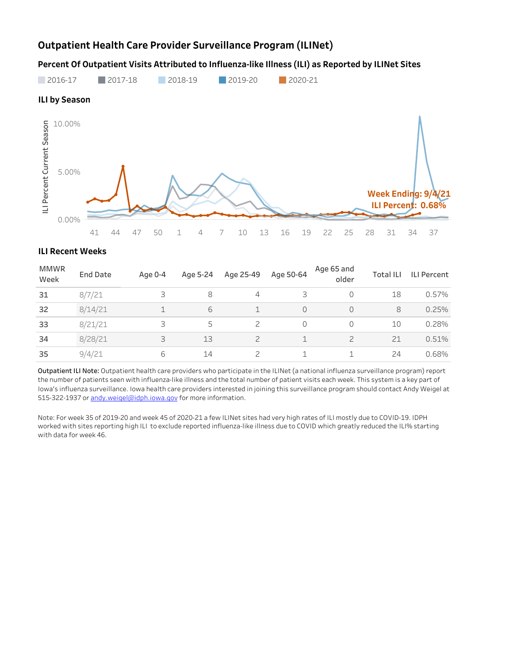# **Outpatient Health Care Provider Surveillance Program (ILINet)**

Percent Of Outpatient Visits Attributed to Influenza-like Illness (ILI) as Reported by ILINet Sites



#### **ILI Recent Weeks**

| <b>MMWR</b><br>Week | <b>End Date</b> | Age 0-4 | Age 5-24 | Age 25-49     | Age 50-64               | Age 65 and<br>older | <b>Total ILI</b> | <b>ILI Percent</b> |
|---------------------|-----------------|---------|----------|---------------|-------------------------|---------------------|------------------|--------------------|
| 31                  | 8/7/21          | 3       | 8        | 4             | 3                       | 0                   | 18               | 0.57%              |
| 32                  | 8/14/21         | ᅩ       | 6        |               | $\Omega$                |                     | 8                | 0.25%              |
| 33                  | 8/21/21         | 3       | 5        |               | 0                       |                     | 10               | 0.28%              |
| 34                  | 8/28/21         | 3       | 13       | $\mathcal{P}$ | $\mathbf{\overline{1}}$ |                     | 21               | 0.51%              |
| 35                  | 9/4/21          | 6       | 14       |               | ⊣                       |                     | 24               | 0.68%              |

Outpatient ILI Note: Outpatient health care providers who participate in the ILINet (a national influenza surveillance program) report the number of patients seen with influenza-like illness and the total number of patient visits each week. This system is a key part of Iowa's influenza surveillance. Iowa health care providers interested in joining this surveillance program should contact Andy Weigel at 515-322-1937 or andy.weigel@idph.iowa.gov for more information.

Note: For week 35 of 2019-20 and week 45 of 2020-21 a few ILINet sites had very high rates of ILI mostly due to COVID-19. IDPH worked with sites reporting high ILI to exclude reported influenza-like illness due to COVID which greatly reduced the ILI% starting with data for week 46.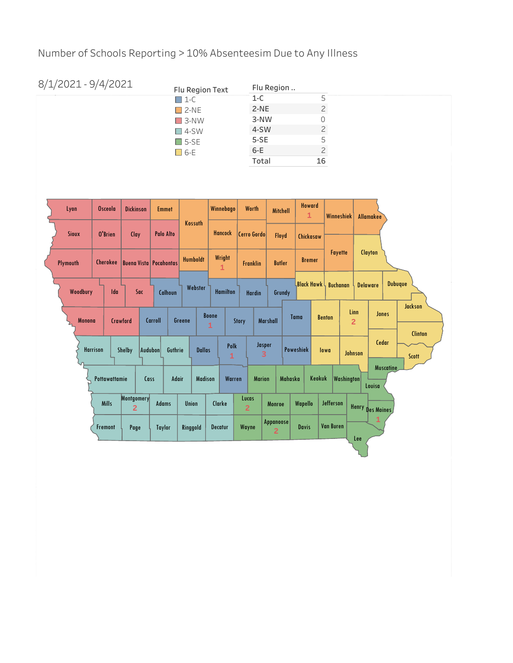Number of Schools Reporting > 10% Absenteesim Due to Any Illness

| 8/1/2021 - 9/4/2021 | Flu Region Text | Flu Region |    |  |  |  |
|---------------------|-----------------|------------|----|--|--|--|
|                     | $\Box$ 1-C      | $1-C$      | 5  |  |  |  |
|                     | $\square$ 2-NE  | $2-NE$     |    |  |  |  |
|                     | $\square$ 3-NW  | 3-NW       |    |  |  |  |
|                     | $\Box$ 4-SW     | 4-SW       |    |  |  |  |
|                     | $\Box$ 5-SE     | $5-SE$     | 5  |  |  |  |
|                     | $\Box$ 6-E      | $6-E$      | っ  |  |  |  |
|                     |                 | Total      | 16 |  |  |  |

| Lyon            | <b>Osceola</b>  | <b>Dickinson</b>              |      | <b>Emmet</b>     |              |                 |                | Winnebago                    |                 |                         | <b>Worth</b>    |                 | <b>Mitchell</b>           |                   | <b>Howard</b><br>$\mathbf{1}$ |                  | <b>Winneshiek</b> |                        | <b>Allamakee</b> |                  |                         |  |                 |  |                |
|-----------------|-----------------|-------------------------------|------|------------------|--------------|-----------------|----------------|------------------------------|-----------------|-------------------------|-----------------|-----------------|---------------------------|-------------------|-------------------------------|------------------|-------------------|------------------------|------------------|------------------|-------------------------|--|-----------------|--|----------------|
| <b>Sioux</b>    | O'Brien         | Clay                          |      | <b>Palo Alto</b> |              |                 | Kossuth        |                              | <b>Hancock</b>  |                         |                 |                 |                           |                   | Cerro Gordo                   |                  | Floyd             |                        | Chickasaw        |                  |                         |  |                 |  |                |
| Plymouth        | <b>Cherokee</b> | <b>Buena Vista Pocahontas</b> |      |                  |              | <b>Humboldt</b> |                | Wright<br>1                  |                 |                         | <b>Franklin</b> | <b>Butler</b>   |                           |                   | <b>Bremer</b>                 |                  | Fayette           |                        | <b>Clayton</b>   |                  |                         |  |                 |  |                |
| Woodbury        | Ida             |                               | Sac  |                  | Calhoun      |                 | Webster        |                              | <b>Hamilton</b> |                         | <b>Hardin</b>   |                 | Grundy                    | <b>Black Hawk</b> |                               | <b>Buchanan</b>  |                   |                        |                  |                  |                         |  | <b>Delaware</b> |  | <b>Dubuque</b> |
| <b>Monona</b>   |                 | Crawford                      |      | Carroll          |              | Greene          |                | <b>Boone</b><br>$\mathbf{1}$ |                 | Story                   |                 | <b>Marshall</b> |                           | <b>Tama</b>       |                               | <b>Benton</b>    |                   | Linn<br>$\overline{2}$ | <b>Jones</b>     |                  | <b>Jackson</b>          |  |                 |  |                |
| <b>Harrison</b> |                 | Shelby                        |      | Audubon          | Guthrie      |                 | <b>Dallas</b>  |                              | Polk<br>1       |                         | Jasper<br>3     |                 |                           | <b>Poweshiek</b>  |                               | lowa             | Johnson           |                        | Cedar            |                  | <b>Clinton</b><br>Scott |  |                 |  |                |
|                 | Pottawattamie   |                               | Cass |                  | <b>Adair</b> |                 | <b>Madison</b> |                              | Warren          |                         | <b>Marion</b>   |                 | <b>Mahaska</b>            |                   | Keokuk                        |                  | Washington        |                        | Louisa           | <b>Muscatine</b> |                         |  |                 |  |                |
|                 | <b>Mills</b>    | Montgomery<br>$\overline{2}$  |      | <b>Adams</b>     |              | <b>Union</b>    |                | Clarke                       |                 | Lucas<br>$\overline{2}$ |                 | Monroe          |                           | Wapello           |                               | Jefferson        |                   |                        | Henry Des Moines |                  |                         |  |                 |  |                |
|                 | Fremont         | Page                          |      | <b>Taylor</b>    |              | Ringgold        |                | <b>Decatur</b>               |                 | Wayne                   |                 | $\overline{2}$  | Appanoose<br><b>Davis</b> |                   |                               | <b>Van Buren</b> |                   | Lee                    | 1                |                  |                         |  |                 |  |                |
|                 |                 |                               |      |                  |              |                 |                |                              |                 |                         |                 |                 |                           |                   |                               |                  |                   |                        |                  |                  |                         |  |                 |  |                |